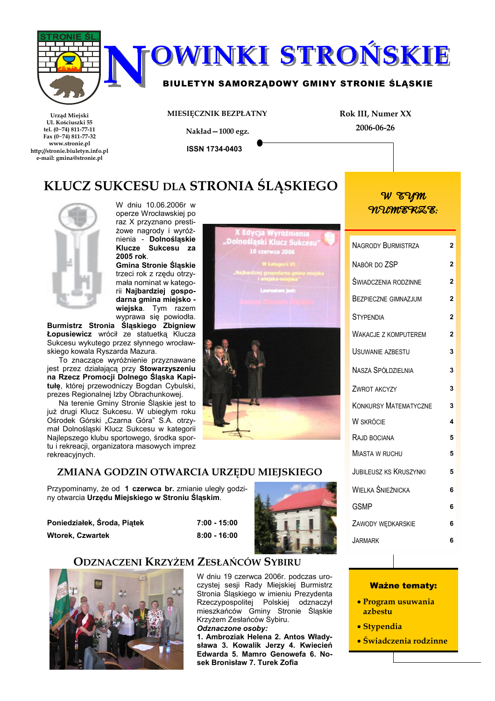

| NAGRODY BURMISTRZA            | 2              |
|-------------------------------|----------------|
| NABÓR DO ZSP                  | $\overline{2}$ |
| ŚWIADCZENIA RODZINNE          | $\overline{2}$ |
| <b>BEZPIECZNE GIMNAZJUM</b>   | $\overline{2}$ |
| <b>STYPENDIA</b>              | $\overline{2}$ |
| <b>WAKACJE Z KOMPUTEREM</b>   | $\overline{2}$ |
| USUWANIE AZBESTU              | 3              |
| <b>NASZA SPÓŁDZIELNIA</b>     | 3              |
| ZWROT AKCYZY                  | 3              |
| <b>KONKURSY MATEMATYCZNE</b>  | 3              |
| <b>W SKRÓCIE</b>              | 4              |
| RAJD BOCIANA                  | 5              |
| <b>MIASTA W RUCHU</b>         | 5              |
| <b>JUBILEUSZ KS KRUSZYNKI</b> | 5              |
| WIELKA ŚNIEŻNICKA             | 6              |
| <b>GSMP</b>                   | 6              |
| ZAWODY WĘDKARSKIE             | 6              |
| JARMARK                       | 6              |

## **Ważne tematy:** • Program usuwania azbestu

- Stypendia
- · Świadczenia rodzinne

ZMIANA GODZIN OTWARCIA URZĘDU MIEJSKIEGO Przypominamy, że od 1 czerwca br. zmianie uległy godziny otwarcia Urzędu Miejskiego w Stroniu Śląskim.



rekreacyjnych.



## **ODZNACZENI KRZYŻEM ZESŁAŃCÓW SYBIRU**



2005 rok.

Burmistrz Stronia Śląskiego Zbigniew Łopusiewicz wrócił ze statuetką Klucza Sukcesu wykutego przez słynnego wrocław-

To znaczące wyróżnienie przyznawane jest przez działającą przy Stowarzyszeniu na Rzecz Promocji Dolnego Śląska Kapitułę, której przewodniczy Bogdan Cybulski, prezes Regionalnej Izby Obrachunkowej. Na terenie Gminy Stronie Śląskie jest to już drugi Klucz Sukcesu. W ubiegłym roku Ośrodek Górski "Czarna Góra" S.A. otrzymał Dolnośląski Klucz Sukcesu w kategorii Najlepszego klubu sportowego, środka sportu i rekreacji, organizatora masowych imprez

skiego kowala Ryszarda Mazura.

**Gmina Stronie Śląskie** trzeci rok z rzędu otrzymała nominat w kategorii Najbardziej gospodarna gmina miejsko wiejska. Tym razem<br>wiejska. Tym razem<br>wyprawa się powiodła.

> W dniu 19 czerwca 2006r. podczas uroczystej sesji Rady Miejskiej Burmistrz Stronia Śląskiego w imieniu Prezydenta<br>Rzeczypospolitej Polskiej odznaczył mieszkańców Gminy Stronie Śląskie Krzyżem Zesłańców Sybiru.

> Odznaczone osoby: 1. Ambroziak Helena 2. Antos Władysława 3. Kowalik Jerzy 4. Kwiecień Edwarda 5. Mamro Genowefa 6. Nosek Bronisław 7. Turek Zofia

 $7:00 - 15:00$ 

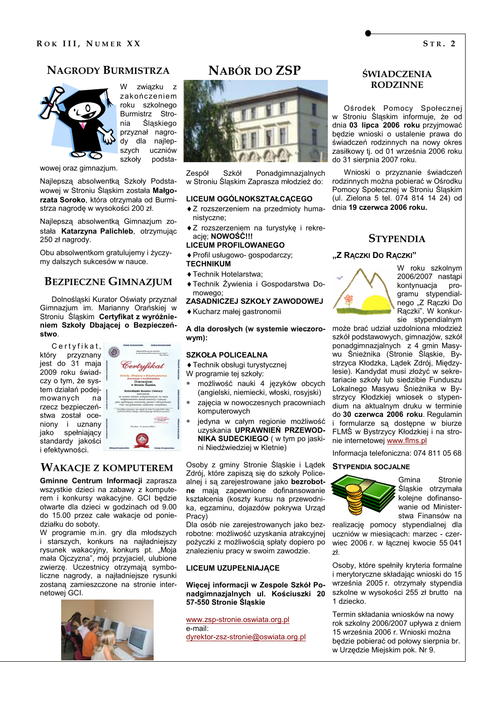## **NAGRODY BURMISTRZA**



W związku z zakończeniem roku szkolnego Burmistrz Stronia Śląskiego przyznał nagrody dla najlepuczniów szych szkoły podsta-

wowej oraz gimnazjum.

Najlepszą absolwentką Szkoły Podstawowej w Stroniu Śląskim została Małgorzata Soroko, która otrzymała od Burmistrza nagrode w wysokości 200 zł.

Najlepszą absolwentką Gimnazjum została Katarzyna Palichleb, otrzymując 250 zł nagrody.

Obu absolwentkom gratulujemy i życzymy dalszych sukcesów w nauce.

## **BEZPIECZNE GIMNAZJUM**

Dolnoślaski Kurator Oświaty przyznał Gimnazjum im. Marianny Orańskiej w Stroniu Slaskim Certyfikat z wyróżnieniem Szkoły Dbającej o Bezpieczeństwo.

Certyfikat, który przyznany jest do 31 maja 2009 roku świadczy o tym. że system działań podeimowanych na rzecz bezpieczeństwa został oceniony i uznany jako spełniający standardy jakości i efektywności.



## **WAKACJE Z KOMPUTEREM**

Gminne Centrum Informacji zaprasza wszystkie dzieci na zabawy z komputerem i konkursy wakacyjne. GCI będzie otwarte dla dzieci w godzinach od 9.00 do 15.00 przez całe wakacje od poniedziałku do soboty.

W programie m.in. gry dla młodszych i starszych, konkurs na najładniejszy rysunek wakacyjny, konkurs pt. "Moia mała Ojczyzna", mój przyjaciel, ulubione zwierzę. Uczestnicy otrzymają symboliczne nagrody, a najładniejsze rysunki zostaną zamieszczone na stronie internetowei GCI.



## NABÓR DO ZSP



Zespół Szkół Ponadgimnazjalnych w Stroniu Śląskim Zaprasza młodzież do:

#### LICEUM OGÓLNOKSZTAŁCACEGO

- ◆ Z rozszerzeniem na przedmioty humanistvczne:
- ◆ Z rozszerzeniem na turystykę i rekreacie: NOWOŚĆ!!!

#### **LICEUM PROFILOWANEGO**

- ◆ Profil usługowo- gospodarczy; **TECHNIKUM**
- ◆ Technik Hotelarstwa:
- ◆ Technik Żywienia i Gospodarstwa Domowego

#### ZASADNICZEJ SZKOŁY ZAWODOWEJ

◆ Kucharz małej gastronomii

#### A dla dorosłych (w systemie wieczorowym):

#### **SZKOŁA POLICEALNA**

◆ Technik obsługi turystycznej

- W programie tej szkoły:
- możliwość nauki 4 języków obcych (angielski, niemiecki, włoski, rosyjski)
- zajecia w nowoczesnych pracowniach komputerowych
- jedyna w całym regionie możliwość uzyskania UPRAWNIEŃ PRZEWOD-NIKA SUDECKIEGO (w tym po jaskini Niedźwiedziej w Kletnie)

Osoby z gminy Stronie Śląskie i Lądek Zdrój, które zapiszą się do szkoły Policealnej i są zarejestrowane jako bezrobotne mają zapewnione dofinansowanie kształcenia (koszty kursu na przewodnika, egzaminu, dojazdów pokrywa Urząd Pracv)

Dla osób nie zarejestrowanych jako bezrobotne: możliwość uzyskania atrakcyjnej pożyczki z możliwościa spłaty dopiero po znalezieniu pracy w swoim zawodzie.

#### LICEUM UZUPEŁNIAJĄCE

#### Więcej informacji w Zespole Szkół Ponadgimnazjalnych ul. Kościuszki 20 57-550 Stronie Śląskie

www.zsp-stronie.oswiata.org.pl e-mail: dyrektor-zsz-stronie@oswiata.org.pl

## **ŚWIADCZENIA RODZINNE**

Ośrodek Pomocy Społecznej w Stroniu Ślaskim informuje, że od dnia 03 lipca 2006 roku przyjmować bedzie wnioski o ustalenie prawa do świadczeń rodzinnych na nowy okres zasiłkowy ti. od 01 września 2006 roku do 31 sierpnia 2007 roku.

Wnioski o przyznanie świadczeń rodzinnych można pobierać w Ośrodku Pomocy Społecznej w Stroniu Śląskim (ul. Zielona 5 tel. 074 814 14 24) od dnia 19 czerwca 2006 roku.

#### **STYPENDIA**

#### "Z RĄCZKI DO RĄCZKI"



W roku szkolnym 2006/2007 nastąpi kontvnuacia programu stypendialnego "Z Rączki Do Rączki". W konkursie stypendialnym

może brać udział uzdolniona młodzież szkół podstawowych, gimnazjów, szkół ponadgimnazjalnych z 4 gmin Masywu Śnieżnika (Stronie Śląskie, Bystrzyca Kłodzka, Lądek Zdrój, Międzylesie). Kandydat musi złożyć w sekretariacie szkoły lub siedzibie Funduszu Lokalnego Masywu Śnieżnika w Bystrzycy Kłodzkiej wniosek o stypendium na aktualnym druku w terminie do 30 czerwca 2006 roku. Regulamin i formularze są dostępne w biurze FLMŚ w Bystrzycy Kłodzkiej i na stronie internetowej www.flms.pl

Informacia telefoniczna: 074 811 05 68

#### **STYPENDIA SOCJALNE**



Gmina Stronie Ślaskie otrzymała koleine dofinansowanie od Ministerstwa Finansów na

realizację pomocy stypendialnej dla uczniów w miesiacach: marzec - czerwiec 2006 r. w łacznej kwocie 55 041  $2<sup>k</sup>$ 

Osoby, które spełniły kryteria formalne i merytoryczne składając wnioski do 15 września 2005 r. otrzymały stypendia szkolne w wysokości 255 zł brutto na 1 dziecko.

Termin składania wniosków na nowy rok szkolny 2006/2007 upływa z dniem 15 września 2006 r. Wnioski można bedzie pobierać od połowy sierpnia br. w Urzedzie Miejskim pok. Nr 9.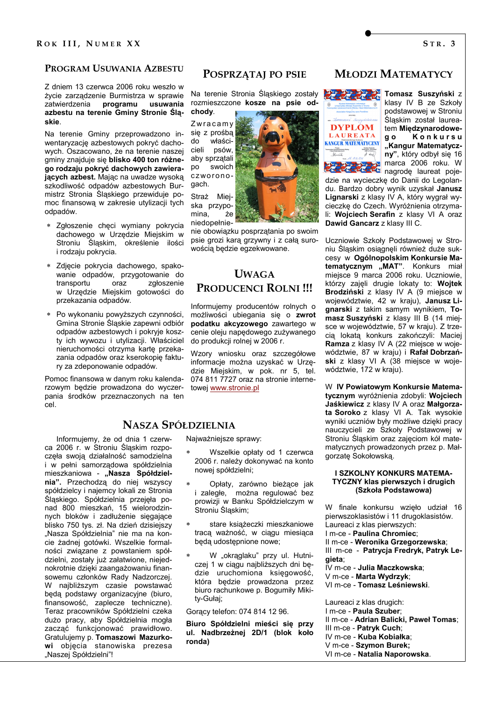## PROGRAM USUWANIA AZBESTU

Z dniem 13 czerwca 2006 roku weszło w życie zarządzenie Burmistrza w sprawie zatwierdzenia programu usuwania azbestu na terenie Gminy Stronie Śląskie

Na terenie Gminy przeprowadzono inwentaryzacie azbestowych pokryć dachowych. Oszacowano, że na terenie naszej gminy znajduje się blisko 400 ton różnego rodzaju pokryć dachowych zawierających azbest. Mając na uwadze wysoką szkodliwość odpadów azbestowych Burmistrz Stronia Śląskiego przewiduje pomoc finansową w zakresie utylizacji tych odpadów.

- \* Zgłoszenie chęci wymiany pokrycia dachowego w Urzędzie Miejskim w Stroniu Slaskim, określenie ilości i rodzaju pokrycia.
- \* Zdjęcie pokrycia dachowego, spakowanie odpadów, przygotowanie do transportu oraz zgłoszenie w Urzędzie Miejskim gotowości do przekazania odpadów.
- \* Po wykonaniu powyższych czynności, Gmina Stronie Ślaskie zapewni odbiór odpadów azbestowych i pokryje koszty ich wywozu i utylizacji. Właściciel nieruchomości otrzyma kartę przekazania odpadów oraz kserokopię faktury za zdeponowanie odpadów.

Pomoc finansowa w danym roku kalendarzowym będzie prowadzona do wyczerpania środków przeznaczonych na ten cel.

Informujemy, że od dnia 1 czerwca 2006 r. w Stroniu Śląskim rozpoczęła swoją działalność samodzielna i w pełni samorządowa spółdzielnia mieszkaniowa - "Nasza Spółdzielnia". Przechodzą do niej wszyscy spółdzielcy i najemcy lokali ze Stronia Śląskiego. Spółdzielnia przejęła ponad 800 mieszkań. 15 wielorodzinnych bloków i zadłużenie siegające blisko 750 tys. zł. Na dzień dzisiejszy "Nasza Spółdzielnia" nie ma na koncie żadnej gotówki. Wszelkie formalności związane z powstaniem spółdzielni, zostały już załatwione, niejednokrotnie dzięki zaangażowaniu finansowemu członków Rady Nadzorczej. W najbliższym czasie powstawać będą podstawy organizacyjne (biuro, finansowość, zaplecze techniczne). Teraz pracowników Spółdzielni czeka dużo pracy, aby Spółdzielnia mogła zaczać funkcjonować prawidłowo. Gratulujemy p. Tomaszowi Mazurkowi objęcia stanowiska prezesa "Naszej Spółdzielni"!

## POSPRZATAJ PO PSIE

Na terenie Stronia Śląskiego zostały rozmieszczone kosze na psie odchody.

Zwracamy się z prośbą  $d\Omega$ właścicieli psów, aby sprzątali po swoich czworonogach.

Straż Miejska przypomina,  $\dot{z}$ e niedonełnie-

nie obowiązku posprzątania po swoim psie grozi karą grzywny i z całą surowością będzie egzekwowane.

## **UWAGA** PRODUCENCI ROLNI !!!

Informujemy producentów rolnych o możliwości ubiegania się o zwrot podatku akcyzowego zawartego w cenie oleju napędowego zużywanego do produkcji rolnej w 2006 r.

Wzory wniosku oraz szczegółowe informacie można uzyskać w Urzedzie Miejskim, w pok. nr 5, tel. 074 811 7727 oraz na stronie internetowej www.stronie.pl

## **NASZA SPÓŁDZIELNIA**

Najważniejsze sprawy:

- Wszelkie opłaty od 1 czerwca 2006 r. należy dokonywać na konto nowej spółdzielni;
- Opłaty, zarówno bieżące jak i zaległe, można regulować bez prowizji w Banku Spółdzielczym w Stroniu Ślaskim;
- stare książeczki mieszkaniowe tracą ważność, w ciągu miesiąca będą udostępnione nowe;
- W "okrąglaku" przy ul. Hutniczej 1 w ciągu najbliższych dni bedzie uruchomiona księgowość, która bedzie prowadzona przez biuro rachunkowe p. Bogumiły Mikitv-Gułai:

Goracy telefon: 074 814 12 96.

Biuro Spółdzielni mieści się przy ul. Nadbrzeżnej 2D/1 (blok koło ronda)

## **MŁODZI MATEMATYCY**



**RAMA Tomasz Suszyński** z klasy IV B ze Szkoły podstawowej w Stroniu Ślaskim został laureatem Miedzynarodowe-Konkursu g o "Kangur Matematyczny", który odbył się 16<br>marca 2006 roku. W **Alexandria de Marca zou i una poje-<br>La La La La Caracción de laureat poje-**

dzie na wycieczke do Danii do Legolandu. Bardzo dobry wynik uzyskał Janusz Lignarski z klasy IV A, który wygrał wycieczke do Czech. Wyróżnienia otrzymali: Wojciech Serafin z klasy VI A oraz Dawid Gancarz z klasy III C.

Uczniowie Szkoły Podstawowej w Stroniu Śląskim osiągnęli również duże sukcesy w Ogólnopolskim Konkursie Matematycznym "MAT". Konkurs miał miejsce 9 marca 2006 roku. Uczniowie, którzy zajęli drugie lokaty to: Wojtek Brodziński z klasy IV A (9 miejsce w województwie, 42 w kraju), Janusz Lignarski z takim samym wynikiem, Tomasz Suszyński z klasy III B (14 mieisce w województwie, 57 w kraju). Z trzecią lokatą konkurs zakończyli: Maciei Ramza z klasy IV A (22 miejsce w województwie, 87 w kraju) i Rafał Dobrzański z klasy VI A (38 miejsce w województwie, 172 w kraju).

W IV Powiatowym Konkursie Matematycznym wyróżnienia zdobyli: Wojciech Jaśkiewicz z klasy IV A oraz Małgorzata Soroko z klasy VI A. Tak wysokie wyniki uczniów były możliwe dzięki pracy nauczycieli ze Szkoły Podstawowej w Stroniu Śląskim oraz zajęciom kół matematycznych prowadzonych przez p. Małgorzatę Sokołowską.

#### **I SZKOLNY KONKURS MATEMA-TYCZNY klas pierwszych i drugich** (Szkoła Podstawowa)

W finale konkursu wzieło udział 16 pierwszoklasistów i 11 drugoklasistów. Laureaci z klas pierwszych: I m-ce - Paulina Chromiec: Il m-ce - Weronika Grzegorzewska; III m-ce - Patrycja Fredryk, Patryk Legieta; IV m-ce - Julia Maczkowska; V m-ce - Marta Wydrzyk; VI m-ce - Tomasz Leśniewski. Laureaci z klas drugich:

I m-ce - Paula Szuber: Il m-ce - Adrian Balicki. Paweł Tomas: III m-ce - Patryk Cuch; IV m-ce - Kuba Kobiałka: V m-ce - Szvmon Burek: VI m-ce - Natalia Naporowska.

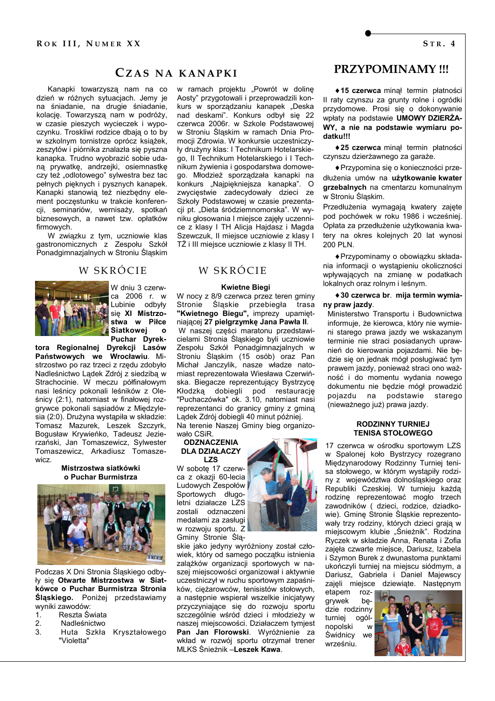CZAS NA KANAPKI

Kanapki towarzysza nam na co dzień w różnych sytuacjach. Jemy je na śniadanie, na drugie śniadanie, kolację. Towarzyszą nam w podróży, w czasie pieszych wycieczek i wypoczynku. Troskliwi rodzice dbają o to by w szkolnym tornistrze oprócz książek, zeszytów i piórnika znalazła się pyszna kanapka. Trudno wyobrazić sobie udana prywatkę, andrzejki, osiemnastkę czy też "odlotowego" sylwestra bez tac pełnych pięknych i pysznych kanapek. Kanapki stanowią też niezbędny element poczestunku w trakcie konferencji, seminariów, wernisaży, spotkań biznesowych, a nawet tzw. opłatków firmowych.

W związku z tym, uczniowie klas gastronomicznych z Zespołu Szkół Ponadgimnazjalnych w Stroniu Śląskim

### W SKRÓCIE



W dniu 3 czerwca 2006 r. w Lubinie odbyły sie XI Mistrzostwa w Piłce **Siatkowej** - 0 Puchar Dyrek-

tora Regionalnej Dyrekcji Lasów Państwowych we Wrocławiu. Mistrzostwo po raz trzeci z rzedu zdobyło Nadleśnictwo Ladek Zdrój z siedziba w Strachocinie. W meczu półfinałowym nasi leśnicy pokonali leśników z Oleśnicy (2:1), natomiast w finałowej rozgrywce pokonali sasiadów z Międzylesia (2:0). Drużyna wystąpiła w składzie: Tomasz Mazurek, Leszek Szczyrk, Bogusław Krywieńko, Tadeusz Jezierzański, Jan Tomaszewicz, Sylwester Tomaszewicz, Arkadiusz Tomaszewicz

> Mistrzostwa siatkówki o Puchar Burmistrza



Podczas X Dni Stronia Ślaskiego odbyly sie Otwarte Mistrzostwa w Siatkówce o Puchar Burmistrza Stronia Śląskiego. Poniżej przedstawiamy wyniki zawodów:

- $1.$ Reszta Świata
- $2.$ Nadleśnictwo
- $\mathbf{z}$ Huta Szkła Kryształowego
	- "Violetta"



## W SKRÓCIE

#### **Kwietne Biegi**

W nocy z 8/9 czerwca przez teren gminy Stronie Śląskie przebiegła trasa<br>"Kwietnego Biegu", imprezy upamiętniającej 27 pielgrzymkę Jana Pawła II. W naszej części maratonu przedstawicielami Stronia Śląskiego byli uczniowie Zespołu Szkół Ponadgimnazjalnych w Stroniu Śląskim (15 osób) oraz Pan Michał Janczylik, nasze władze natomiast reprezentowała Wiesława Czerwińska. Biegacze reprezentujący Bystrzycę Kłodzką dobiegli pod restaurację "Puchaczówka" ok. 3.10, natomiast nasi reprezentanci do granicy gminy z gminą Ladek Zdrój dobiegli 40 minut później. Na terenie Naszei Gminy bieg organizo-

wało CSiR. **ODZNACZENIA** 

## **DLA DZIAŁACZY**

**LZS** W sobotę 17 czerwca z okazji 60-lecia Ludowych Zespołów Sportowych długoletni działacze LZS zostali odznaczeni medalami za zasługi w rozwoju sportu. Z Gminy Stronie Sla-

skie jako jedyny wyróżniony został człowiek, który od samego początku istnienia zalążków organizacji sportowych w naszei miejscowości organizował i aktywnie uczestniczył w ruchu sportowym zapaśników, cieżarowców, tenisistów stołowych. a następnie wspierał wszelkie inicjatywy przyczyniające się do rozwoju sportu szczególnie wśród dzieci i młodzieży w naszej miejscowości. Działaczem tymjest Pan Jan Florowski. Wyróżnienie za wkład w rozwój sportu otrzymał trener<br>MLKS Śnieżnik – Leszek Kawa.



◆ 15 czerwca minał termin płatności Il raty czynszu za grunty rolne i ogródki przydomowe. Prosi się o dokonywanie wpłaty na podstawie UMOWY DZIERŻA-WY, a nie na podstawie wymiaru podatku!!!

◆ 25 czerwca minał termin płatności czynszu dzierżawnego za garaże.

◆ Przypomina się o konieczności przedłużenia umów na użytkowanie kwater arzebalnych na cmentarzu komunalnym w Stroniu Śląskim.

Przedłużenia wymagają kwatery zajęte pod pochówek w roku 1986 i wcześniej. Opłata za przedłużenie użytkowania kwatery na okres koleinych 20 lat wynosi 200 PLN.

◆ Przypominamy o obowiązku składania informacji o wystąpieniu okoliczności wpływających na zmianę w podatkach lokalnych oraz rolnym i leśnym.

◆ 30 czerwca br. mija termin wymiany praw jazdy.

Ministerstwo Transportu i Budownictwa informuje, że kierowca, który nie wymieni starego prawa jazdy we wskazanym terminie nie straci posiadanych uprawnień do kierowania pojazdami. Nie będzie się on jednak mógł posługiwać tym prawem jazdy, ponieważ straci ono ważność i do momentu wydania nowego dokumentu nie będzie mógł prowadzić pojazdu na podstawie starego (nieważnego już) prawa jazdy.

#### **RODZINNY TURNIEJ TENISA STOŁOWEGO**

17 czerwca w ośrodku sportowym LZS w Spalonej koło Bystrzycy rozegrano Międzynarodowy Rodzinny Turniej tenisa stołowego, w którym wystąpiły rodziny z województwa dolnośląskiego oraz Republiki Czeskiej. W turnieju każda rodzine reprezentować mogło trzech zawodników ( dzieci, rodzice, dziadkowie). Gminę Stronie Sląskie reprezentowały trzy rodziny, których dzieci grają w miejscowym klubie "Śnieżnik". Rodzina Ryczek w składzie Anna, Renata i Zofia zajeła czwarte miejsce, Dariusz, Izabela i Szymon Burek z dwunastoma punktami ukończyli turniej na miejscu siódmym, a Dariusz, Gabriela i Daniel Majewscy zajeli miejsce dziewiate. Nastepnym

etapem  $\overline{107}$ grywek bedzie rodzinny turniej ogólnopolski W Świdnicy We wrześniu.

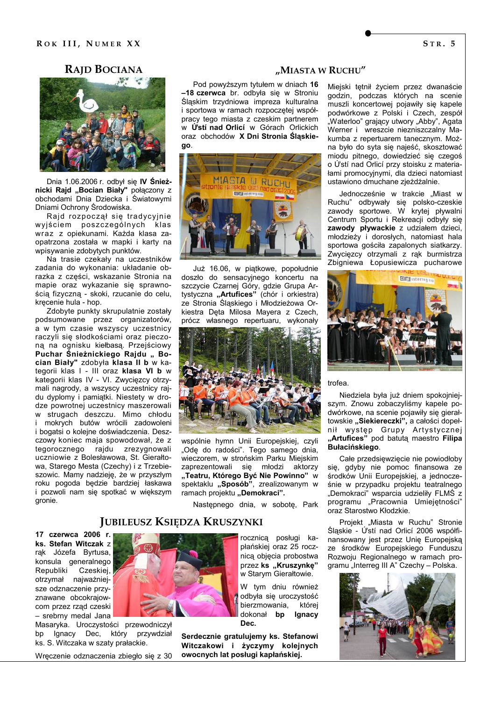## **RAID BOCIANA**



Dnia 1.06.2006 r. odbył się IV Śnieżnicki Rajd "Bocian Biały" połączony z obchodami Dnia Dziecka i Światowymi Dniami Ochrony Środowiska.

Rajd rozpoczął się tradycyjnie wyjściem poszczególnych klas wraz z opiekunami. Każda klasa zaopatrzona została w mapki i karty na wpisywanie zdobytych punktów.

Na trasie czekały na uczestników zadania do wykonania: układanie obrazka z części, wskazanie Stronia na mapie oraz wykazanie się sprawnością fizyczną - skoki, rzucanie do celu, kręcenie hula - hop.

Zdobyte punkty skrupulatnie zostały podsumowane przez organizatorów, a w tym czasie wszyscy uczestnicy raczyli się słodkościami oraz pieczona na ognisku kiełbasą. Przejściowy Puchar Šnieżnickiego Rajdu " Bocian Biały" zdobyła klasa II b w kategorii klas I - III oraz klasa VI b w kategorii klas IV - VI. Zwycięzcy otrzymali nagrody, a wszyscy uczestnicy rajdu dvplomy i pamiatki. Niestety w drodze powrotnej uczestnicy maszerowali w strugach deszczu. Mimo chłodu i mokrych butów wrócili zadowoleni i bogatsi o kolejne doświadczenia. Deszczowy koniec maja spowodował, że z tegorocznego rajdu zrezygnowali uczniowie z Bolesławowa, St. Gierałtowa, Starego Mesta (Czechy) i z Trzebieszowic. Mamy nadzieję, że w przyszłym roku pogoda będzie bardziej łaskawa i pozwoli nam się spotkać w większym gronie.

#### "MIASTA W RUCHU"

Pod powyższym tytułem w dniach 16 -18 czerwca br. odbyła się w Stroniu Śląskim trzydniowa impreza kulturalna i sportowa w ramach rozpoczętej współpracy tego miasta z czeskim partnerem w Ústí nad Orlicí w Górach Orlickich oraz obchodów X Dni Stronia Ślaskiego.



Już 16.06, w piątkowe, popołudnie doszło do sensacyjnego koncertu na szczycie Czarnej Góry, gdzie Grupa Artystyczna "Artufices" (chór i orkiestra) ze Stronia Śląskiego i Młodzieżowa Orkiestra Dęta Milosa Mayera z Czech, prócz własnego repertuaru, wykonały



wspólnie hymn Unii Europejskiej, czyli "Ode do radości". Tego samego dnia, wieczorem, w strońskim Parku Miejskim zaprezentowali się młodzi aktorzy "Teatru, Którego Być Nie Powinno" w spektaklu "Sposób", zrealizowanym w ramach projektu "Demokraci".

Następnego dnia, w sobotę, Park

## **JUBILEUSZ KSIĘDZA KRUSZYNKI**

17 czerwca 2006 r. ks. Stefan Witczak z rak Józefa Byrtusa, konsula generalnego Republiki Czeskiej, otrzvmał najważniejsze odznaczenie przyznawane obcokrajowcom przez rząd czeski - srebrny medal Jana

Masaryka. Uroczystości przewodniczył Ignacy Dec, który przywdział bp ks. S. Witczaka w szaty prałackie.

Wręczenie odznaczenia zbiegło się z 30

rocznicą posługi kapłańskiej oraz 25 rocznica objecia probostwa przez ks "Kruszynkę" w Starym Gierałtowie.

W tym dniu również odbyła się uroczystość bierzmowania, której dokonał bp Ignacy Dec.

Serdecznie gratulujemy ks. Stefanowi Witczakowi i życzymy kolejnych owocnych lat posługi kapłańskiej.

Miejski tętnił życiem przez dwanaście godzin, podczas których na scenie muszli koncertowej pojawiły się kapele podwórkowe z Polski i Czech, zespół "Waterloo" grający utwory "Abby", Agata Werner i wreszcie niezniszczalny Makumba z repertuarem tanecznym. Można było do syta się najeść, skosztować miodu pitnego, dowiedzieć się czegoś o Ústí nad Orlicí przy stoisku z materiałami promocyjnymi, dla dzieci natomiast ustawiono dmuchane zjeżdżalnie.

Jednocześnie w trakcie "Miast w Ruchu" odbywały się polsko-czeskie<br>zawody sportowe. W krytej pływalni Centrum Sportu i Rekreacji odbyły sie zawody pływackie z udziałem dzieci, młodzieży i dorosłych, natomiast hala sportowa gościła zapalonych siatkarzy. Zwycięzcy otrzymali z rąk burmistrza Zbigniewa Łopusiewicza pucharowe



trofea.

Niedziela była już dniem spokojniejszym. Znowu zobaczyliśmy kapele podwórkowe, na scenie pojawiły się gierałtowskie "Siekiereczki", a całości dopełnił występ Grupy Artystycznej<br>"Artufices" pod batutą maestro Filipa Bułacińskiego.

Całe przedsięwzięcie nie powiodłoby się, gdyby nie pomoc finansowa ze środków Unii Europejskiej, a jednocześnie w przypadku projektu teatralnego "Demokraci" wsparcia udzieliły FLMŚ z programu "Pracownia Umiejętności" oraz Starostwo Kłodzkie.

Projekt "Miasta w Ruchu" Stronie Śląskie - Ústí nad Orlicí 2006 współfinansowany jest przez Unie Europejska ze środków Europejskiego Funduszu Rozwoju Regionalnego w ramach programu "Interreg III A" Czechy - Polska.